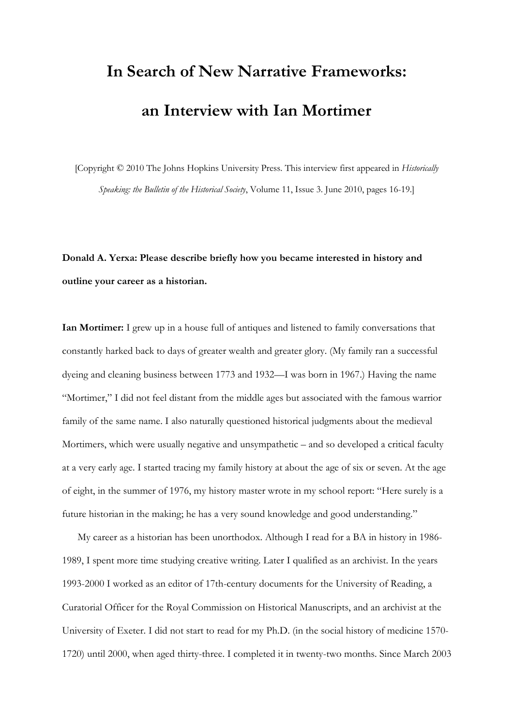# **In Search of New Narrative Frameworks: an Interview with Ian Mortimer**

[Copyright © 2010 The Johns Hopkins University Press. This interview first appeared in *Historically Speaking: the Bulletin of the Historical Society*, Volume 11, Issue 3. June 2010, pages 16-19.]

# **Donald A. Yerxa: Please describe briefly how you became interested in history and outline your career as a historian.**

**Ian Mortimer:** I grew up in a house full of antiques and listened to family conversations that constantly harked back to days of greater wealth and greater glory. (My family ran a successful dyeing and cleaning business between 1773 and 1932—I was born in 1967.) Having the name "Mortimer," I did not feel distant from the middle ages but associated with the famous warrior family of the same name. I also naturally questioned historical judgments about the medieval Mortimers, which were usually negative and unsympathetic – and so developed a critical faculty at a very early age. I started tracing my family history at about the age of six or seven. At the age of eight, in the summer of 1976, my history master wrote in my school report: "Here surely is a future historian in the making; he has a very sound knowledge and good understanding."

My career as a historian has been unorthodox. Although I read for a BA in history in 1986- 1989, I spent more time studying creative writing. Later I qualified as an archivist. In the years 1993-2000 I worked as an editor of 17th-century documents for the University of Reading, a Curatorial Officer for the Royal Commission on Historical Manuscripts, and an archivist at the University of Exeter. I did not start to read for my Ph.D. (in the social history of medicine 1570- 1720) until 2000, when aged thirty-three. I completed it in twenty-two months. Since March 2003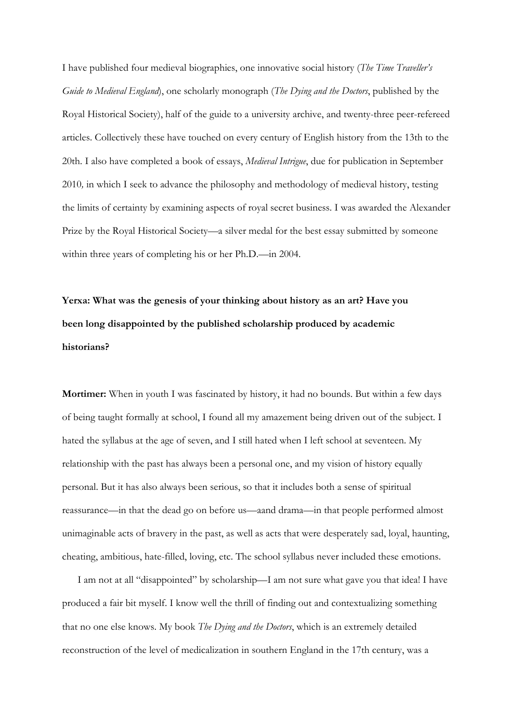I have published four medieval biographies, one innovative social history (*The Time Traveller's Guide to Medieval England*), one scholarly monograph (*The Dying and the Doctors*, published by the Royal Historical Society), half of the guide to a university archive, and twenty-three peer-refereed articles. Collectively these have touched on every century of English history from the 13th to the 20th. I also have completed a book of essays, *Medieval Intrigue*, due for publication in September 2010*,* in which I seek to advance the philosophy and methodology of medieval history, testing the limits of certainty by examining aspects of royal secret business. I was awarded the Alexander Prize by the Royal Historical Society—a silver medal for the best essay submitted by someone within three years of completing his or her Ph.D.—in 2004.

**Yerxa: What was the genesis of your thinking about history as an art? Have you been long disappointed by the published scholarship produced by academic historians?** 

**Mortimer:** When in youth I was fascinated by history, it had no bounds. But within a few days of being taught formally at school, I found all my amazement being driven out of the subject. I hated the syllabus at the age of seven, and I still hated when I left school at seventeen. My relationship with the past has always been a personal one, and my vision of history equally personal. But it has also always been serious, so that it includes both a sense of spiritual reassurance—in that the dead go on before us—aand drama—in that people performed almost unimaginable acts of bravery in the past, as well as acts that were desperately sad, loyal, haunting, cheating, ambitious, hate-filled, loving, etc. The school syllabus never included these emotions.

I am not at all "disappointed" by scholarship—I am not sure what gave you that idea! I have produced a fair bit myself. I know well the thrill of finding out and contextualizing something that no one else knows. My book *The Dying and the Doctors*, which is an extremely detailed reconstruction of the level of medicalization in southern England in the 17th century, was a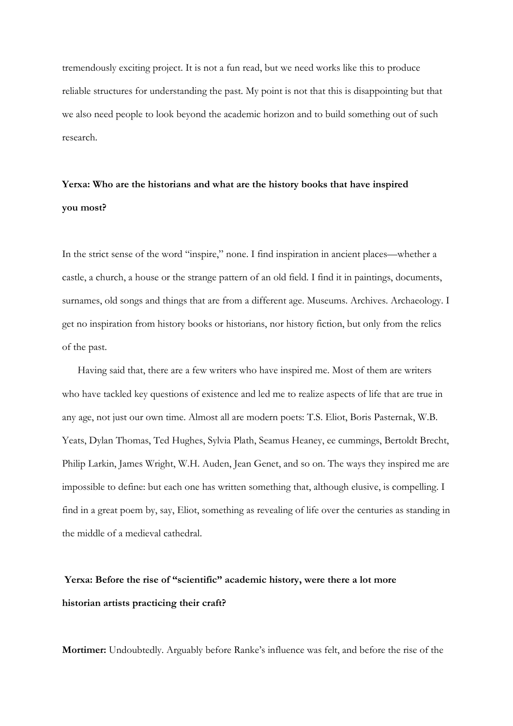tremendously exciting project. It is not a fun read, but we need works like this to produce reliable structures for understanding the past. My point is not that this is disappointing but that we also need people to look beyond the academic horizon and to build something out of such research.

# **Yerxa: Who are the historians and what are the history books that have inspired you most?**

In the strict sense of the word "inspire," none. I find inspiration in ancient places—whether a castle, a church, a house or the strange pattern of an old field. I find it in paintings, documents, surnames, old songs and things that are from a different age. Museums. Archives. Archaeology. I get no inspiration from history books or historians, nor history fiction, but only from the relics of the past.

Having said that, there are a few writers who have inspired me. Most of them are writers who have tackled key questions of existence and led me to realize aspects of life that are true in any age, not just our own time. Almost all are modern poets: T.S. Eliot, Boris Pasternak, W.B. Yeats, Dylan Thomas, Ted Hughes, Sylvia Plath, Seamus Heaney, ee cummings, Bertoldt Brecht, Philip Larkin, James Wright, W.H. Auden, Jean Genet, and so on. The ways they inspired me are impossible to define: but each one has written something that, although elusive, is compelling. I find in a great poem by, say, Eliot, something as revealing of life over the centuries as standing in the middle of a medieval cathedral.

# **Yerxa: Before the rise of "scientific" academic history, were there a lot more historian artists practicing their craft?**

**Mortimer:** Undoubtedly. Arguably before Ranke's influence was felt, and before the rise of the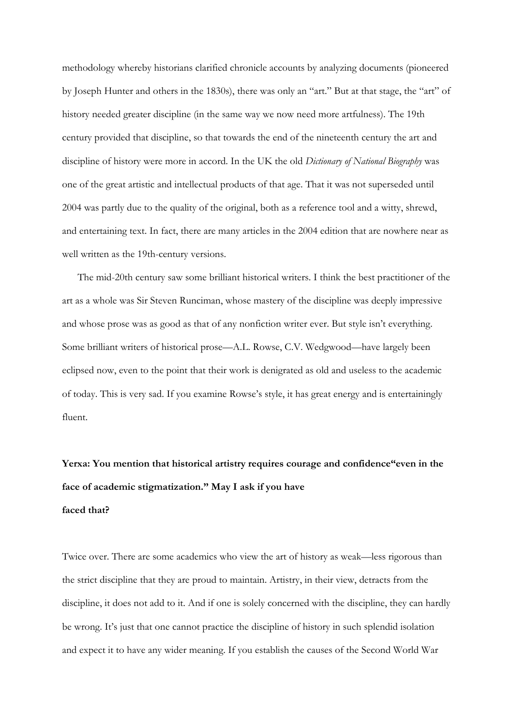methodology whereby historians clarified chronicle accounts by analyzing documents (pioneered by Joseph Hunter and others in the 1830s), there was only an "art." But at that stage, the "art" of history needed greater discipline (in the same way we now need more artfulness). The 19th century provided that discipline, so that towards the end of the nineteenth century the art and discipline of history were more in accord. In the UK the old *Dictionary of National Biography* was one of the great artistic and intellectual products of that age. That it was not superseded until 2004 was partly due to the quality of the original, both as a reference tool and a witty, shrewd, and entertaining text. In fact, there are many articles in the 2004 edition that are nowhere near as well written as the 19th-century versions.

The mid-20th century saw some brilliant historical writers. I think the best practitioner of the art as a whole was Sir Steven Runciman, whose mastery of the discipline was deeply impressive and whose prose was as good as that of any nonfiction writer ever. But style isn't everything. Some brilliant writers of historical prose—A.L. Rowse, C.V. Wedgwood—have largely been eclipsed now, even to the point that their work is denigrated as old and useless to the academic of today. This is very sad. If you examine Rowse's style, it has great energy and is entertainingly fluent.

# **Yerxa: You mention that historical artistry requires courage and confidence"even in the face of academic stigmatization." May I ask if you have faced that?**

Twice over. There are some academics who view the art of history as weak—less rigorous than the strict discipline that they are proud to maintain. Artistry, in their view, detracts from the discipline, it does not add to it. And if one is solely concerned with the discipline, they can hardly be wrong. It's just that one cannot practice the discipline of history in such splendid isolation and expect it to have any wider meaning. If you establish the causes of the Second World War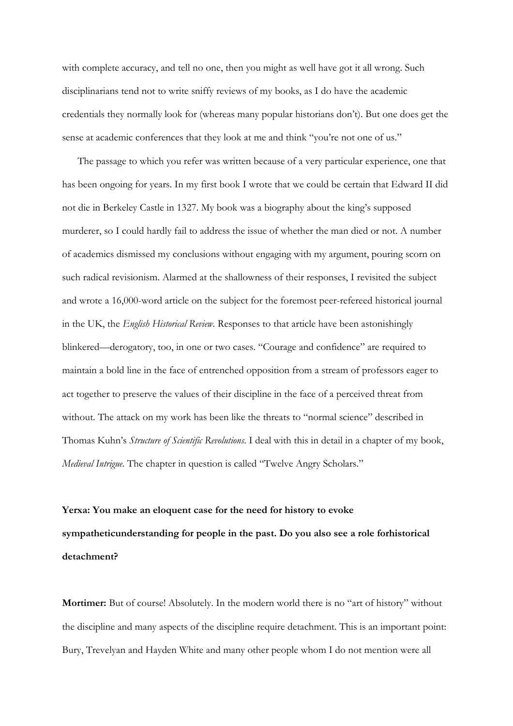with complete accuracy, and tell no one, then you might as well have got it all wrong. Such disciplinarians tend not to write sniffy reviews of my books, as I do have the academic credentials they normally look for (whereas many popular historians don't). But one does get the sense at academic conferences that they look at me and think "you're not one of us."

The passage to which you refer was written because of a very particular experience, one that has been ongoing for years. In my first book I wrote that we could be certain that Edward II did not die in Berkeley Castle in 1327. My book was a biography about the king's supposed murderer, so I could hardly fail to address the issue of whether the man died or not. A number of academics dismissed my conclusions without engaging with my argument, pouring scorn on such radical revisionism. Alarmed at the shallowness of their responses, I revisited the subject and wrote a 16,000-word article on the subject for the foremost peer-refereed historical journal in the UK, the *English Historical Review*. Responses to that article have been astonishingly blinkered—derogatory, too, in one or two cases. "Courage and confidence" are required to maintain a bold line in the face of entrenched opposition from a stream of professors eager to act together to preserve the values of their discipline in the face of a perceived threat from without. The attack on my work has been like the threats to "normal science" described in Thomas Kuhn's *Structure of Scientific Revolutions*. I deal with this in detail in a chapter of my book, *Medieval Intrigue*. The chapter in question is called "Twelve Angry Scholars."

# **Yerxa: You make an eloquent case for the need for history to evoke sympatheticunderstanding for people in the past. Do you also see a role forhistorical detachment?**

**Mortimer:** But of course! Absolutely. In the modern world there is no "art of history" without the discipline and many aspects of the discipline require detachment. This is an important point: Bury, Trevelyan and Hayden White and many other people whom I do not mention were all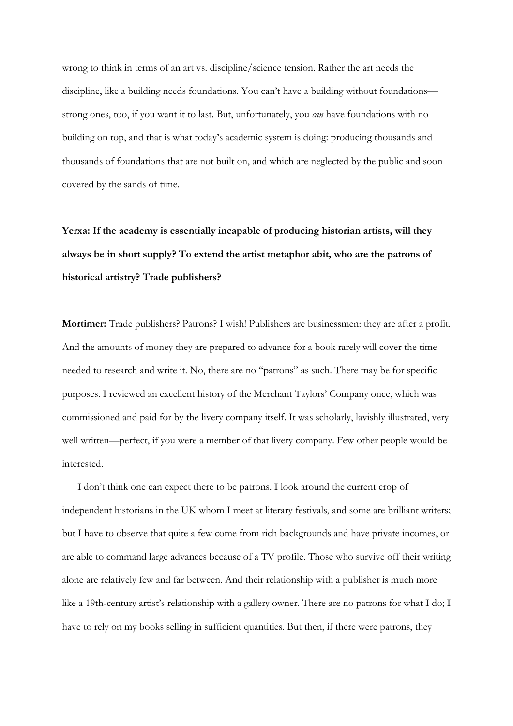wrong to think in terms of an art vs. discipline/science tension. Rather the art needs the discipline, like a building needs foundations. You can't have a building without foundations strong ones, too, if you want it to last. But, unfortunately, you *can* have foundations with no building on top, and that is what today's academic system is doing: producing thousands and thousands of foundations that are not built on, and which are neglected by the public and soon covered by the sands of time.

**Yerxa: If the academy is essentially incapable of producing historian artists, will they always be in short supply? To extend the artist metaphor abit, who are the patrons of historical artistry? Trade publishers?** 

**Mortimer:** Trade publishers? Patrons? I wish! Publishers are businessmen: they are after a profit. And the amounts of money they are prepared to advance for a book rarely will cover the time needed to research and write it. No, there are no "patrons" as such. There may be for specific purposes. I reviewed an excellent history of the Merchant Taylors' Company once, which was commissioned and paid for by the livery company itself. It was scholarly, lavishly illustrated, very well written—perfect, if you were a member of that livery company. Few other people would be interested.

I don't think one can expect there to be patrons. I look around the current crop of independent historians in the UK whom I meet at literary festivals, and some are brilliant writers; but I have to observe that quite a few come from rich backgrounds and have private incomes, or are able to command large advances because of a TV profile. Those who survive off their writing alone are relatively few and far between. And their relationship with a publisher is much more like a 19th-century artist's relationship with a gallery owner. There are no patrons for what I do; I have to rely on my books selling in sufficient quantities. But then, if there were patrons, they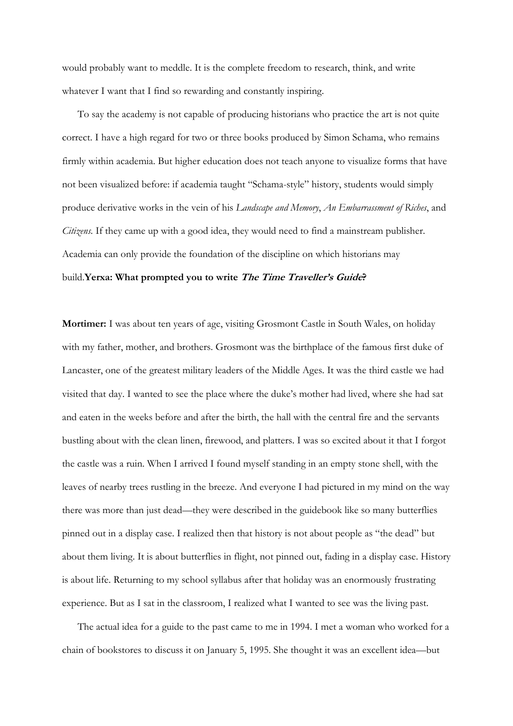would probably want to meddle. It is the complete freedom to research, think, and write whatever I want that I find so rewarding and constantly inspiring.

To say the academy is not capable of producing historians who practice the art is not quite correct. I have a high regard for two or three books produced by Simon Schama, who remains firmly within academia. But higher education does not teach anyone to visualize forms that have not been visualized before: if academia taught "Schama-style" history, students would simply produce derivative works in the vein of his *Landscape and Memory*, *An Embarrassment of Riches*, and *Citizens.* If they came up with a good idea, they would need to find a mainstream publisher. Academia can only provide the foundation of the discipline on which historians may build.**Yerxa: What prompted you to write The Time Traveller's Guide?** 

**Mortimer:** I was about ten years of age, visiting Grosmont Castle in South Wales, on holiday with my father, mother, and brothers. Grosmont was the birthplace of the famous first duke of Lancaster, one of the greatest military leaders of the Middle Ages. It was the third castle we had visited that day. I wanted to see the place where the duke's mother had lived, where she had sat and eaten in the weeks before and after the birth, the hall with the central fire and the servants bustling about with the clean linen, firewood, and platters. I was so excited about it that I forgot the castle was a ruin. When I arrived I found myself standing in an empty stone shell, with the leaves of nearby trees rustling in the breeze. And everyone I had pictured in my mind on the way there was more than just dead—they were described in the guidebook like so many butterflies pinned out in a display case. I realized then that history is not about people as "the dead" but about them living. It is about butterflies in flight, not pinned out, fading in a display case. History is about life. Returning to my school syllabus after that holiday was an enormously frustrating experience. But as I sat in the classroom, I realized what I wanted to see was the living past.

The actual idea for a guide to the past came to me in 1994. I met a woman who worked for a chain of bookstores to discuss it on January 5, 1995. She thought it was an excellent idea—but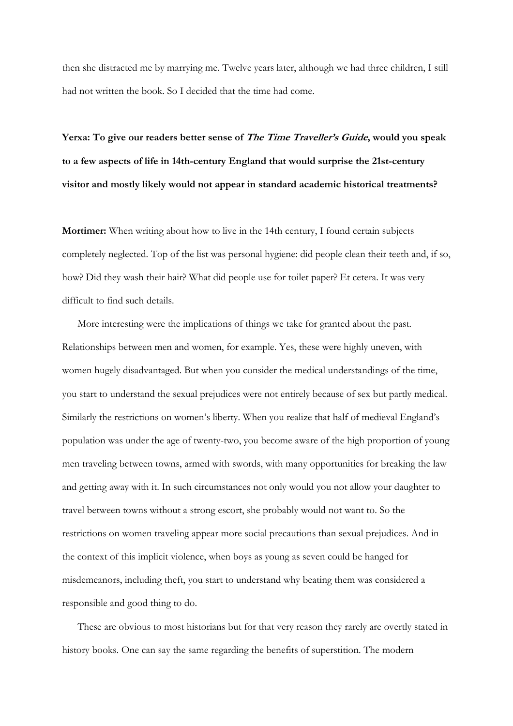then she distracted me by marrying me. Twelve years later, although we had three children, I still had not written the book. So I decided that the time had come.

Yerxa: To give our readers better sense of *The Time Traveller's Guide*, would you speak **to a few aspects of life in 14th-century England that would surprise the 21st-century visitor and mostly likely would not appear in standard academic historical treatments?** 

**Mortimer:** When writing about how to live in the 14th century, I found certain subjects completely neglected. Top of the list was personal hygiene: did people clean their teeth and, if so, how? Did they wash their hair? What did people use for toilet paper? Et cetera. It was very difficult to find such details.

More interesting were the implications of things we take for granted about the past. Relationships between men and women, for example. Yes, these were highly uneven, with women hugely disadvantaged. But when you consider the medical understandings of the time, you start to understand the sexual prejudices were not entirely because of sex but partly medical. Similarly the restrictions on women's liberty. When you realize that half of medieval England's population was under the age of twenty-two, you become aware of the high proportion of young men traveling between towns, armed with swords, with many opportunities for breaking the law and getting away with it. In such circumstances not only would you not allow your daughter to travel between towns without a strong escort, she probably would not want to. So the restrictions on women traveling appear more social precautions than sexual prejudices. And in the context of this implicit violence, when boys as young as seven could be hanged for misdemeanors, including theft, you start to understand why beating them was considered a responsible and good thing to do.

These are obvious to most historians but for that very reason they rarely are overtly stated in history books. One can say the same regarding the benefits of superstition. The modern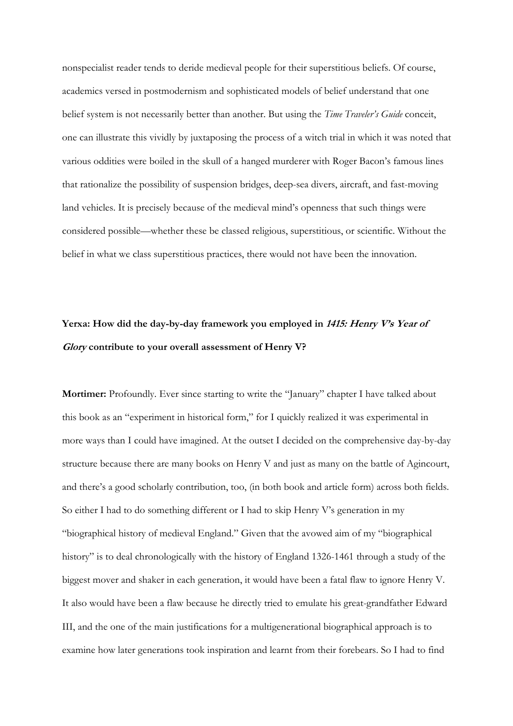nonspecialist reader tends to deride medieval people for their superstitious beliefs. Of course, academics versed in postmodernism and sophisticated models of belief understand that one belief system is not necessarily better than another. But using the *Time Traveler's Guide* conceit, one can illustrate this vividly by juxtaposing the process of a witch trial in which it was noted that various oddities were boiled in the skull of a hanged murderer with Roger Bacon's famous lines that rationalize the possibility of suspension bridges, deep-sea divers, aircraft, and fast-moving land vehicles. It is precisely because of the medieval mind's openness that such things were considered possible—whether these be classed religious, superstitious, or scientific. Without the belief in what we class superstitious practices, there would not have been the innovation.

#### **Yerxa: How did the day-by-day framework you employed in 1415: Henry V's Year of Glory contribute to your overall assessment of Henry V?**

**Mortimer:** Profoundly. Ever since starting to write the "January" chapter I have talked about this book as an "experiment in historical form," for I quickly realized it was experimental in more ways than I could have imagined. At the outset I decided on the comprehensive day-by-day structure because there are many books on Henry V and just as many on the battle of Agincourt, and there's a good scholarly contribution, too, (in both book and article form) across both fields. So either I had to do something different or I had to skip Henry V's generation in my "biographical history of medieval England." Given that the avowed aim of my "biographical history" is to deal chronologically with the history of England 1326-1461 through a study of the biggest mover and shaker in each generation, it would have been a fatal flaw to ignore Henry V. It also would have been a flaw because he directly tried to emulate his great-grandfather Edward III, and the one of the main justifications for a multigenerational biographical approach is to examine how later generations took inspiration and learnt from their forebears. So I had to find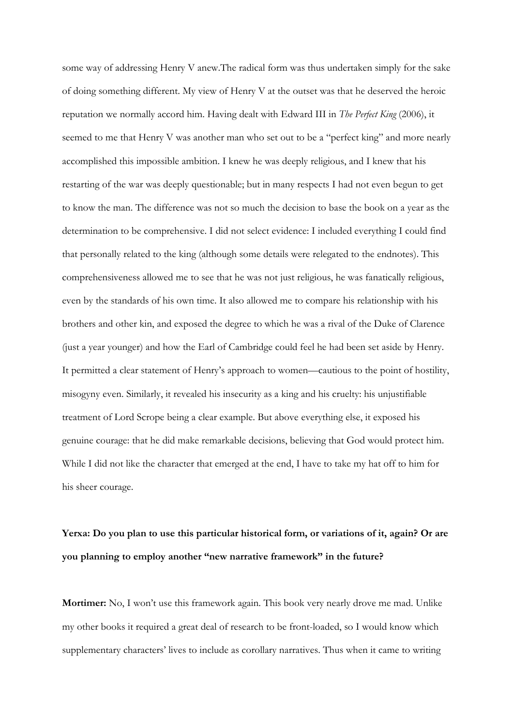some way of addressing Henry V anew.The radical form was thus undertaken simply for the sake of doing something different. My view of Henry V at the outset was that he deserved the heroic reputation we normally accord him. Having dealt with Edward III in *The Perfect King* (2006), it seemed to me that Henry V was another man who set out to be a "perfect king" and more nearly accomplished this impossible ambition. I knew he was deeply religious, and I knew that his restarting of the war was deeply questionable; but in many respects I had not even begun to get to know the man. The difference was not so much the decision to base the book on a year as the determination to be comprehensive. I did not select evidence: I included everything I could find that personally related to the king (although some details were relegated to the endnotes). This comprehensiveness allowed me to see that he was not just religious, he was fanatically religious, even by the standards of his own time. It also allowed me to compare his relationship with his brothers and other kin, and exposed the degree to which he was a rival of the Duke of Clarence (just a year younger) and how the Earl of Cambridge could feel he had been set aside by Henry. It permitted a clear statement of Henry's approach to women—cautious to the point of hostility, misogyny even. Similarly, it revealed his insecurity as a king and his cruelty: his unjustifiable treatment of Lord Scrope being a clear example. But above everything else, it exposed his genuine courage: that he did make remarkable decisions, believing that God would protect him. While I did not like the character that emerged at the end, I have to take my hat off to him for his sheer courage.

# **Yerxa: Do you plan to use this particular historical form, or variations of it, again? Or are you planning to employ another "new narrative framework" in the future?**

**Mortimer:** No, I won't use this framework again. This book very nearly drove me mad. Unlike my other books it required a great deal of research to be front-loaded, so I would know which supplementary characters' lives to include as corollary narratives. Thus when it came to writing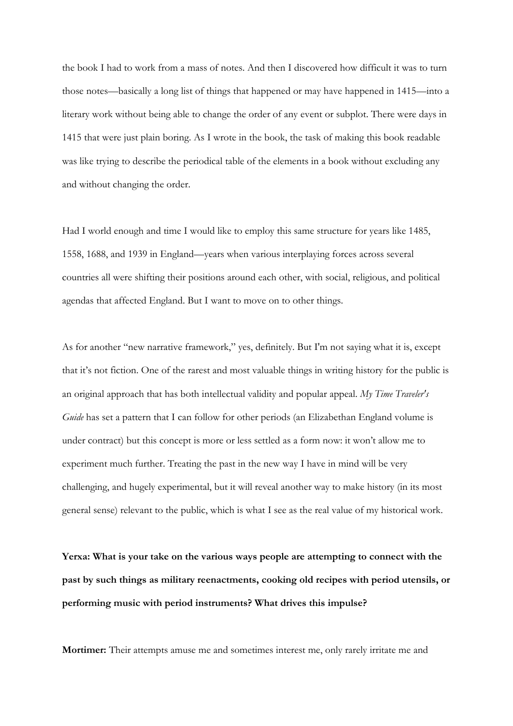the book I had to work from a mass of notes. And then I discovered how difficult it was to turn those notes—basically a long list of things that happened or may have happened in 1415—into a literary work without being able to change the order of any event or subplot. There were days in 1415 that were just plain boring. As I wrote in the book, the task of making this book readable was like trying to describe the periodical table of the elements in a book without excluding any and without changing the order.

Had I world enough and time I would like to employ this same structure for years like 1485, 1558, 1688, and 1939 in England—years when various interplaying forces across several countries all were shifting their positions around each other, with social, religious, and political agendas that affected England. But I want to move on to other things.

As for another "new narrative framework," yes, definitely. But I'm not saying what it is, except that it's not fiction. One of the rarest and most valuable things in writing history for the public is an original approach that has both intellectual validity and popular appeal. *My Time Traveler's Guide* has set a pattern that I can follow for other periods (an Elizabethan England volume is under contract) but this concept is more or less settled as a form now: it won't allow me to experiment much further. Treating the past in the new way I have in mind will be very challenging, and hugely experimental, but it will reveal another way to make history (in its most general sense) relevant to the public, which is what I see as the real value of my historical work.

**Yerxa: What is your take on the various ways people are attempting to connect with the past by such things as military reenactments, cooking old recipes with period utensils, or performing music with period instruments? What drives this impulse?** 

**Mortimer:** Their attempts amuse me and sometimes interest me, only rarely irritate me and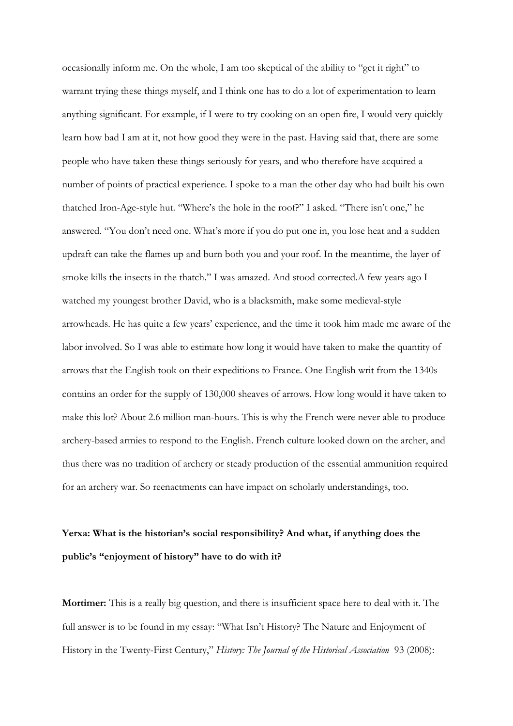occasionally inform me. On the whole, I am too skeptical of the ability to "get it right" to warrant trying these things myself, and I think one has to do a lot of experimentation to learn anything significant. For example, if I were to try cooking on an open fire, I would very quickly learn how bad I am at it, not how good they were in the past. Having said that, there are some people who have taken these things seriously for years, and who therefore have acquired a number of points of practical experience. I spoke to a man the other day who had built his own thatched Iron-Age-style hut. "Where's the hole in the roof?" I asked. "There isn't one," he answered. "You don't need one. What's more if you do put one in, you lose heat and a sudden updraft can take the flames up and burn both you and your roof. In the meantime, the layer of smoke kills the insects in the thatch." I was amazed. And stood corrected.A few years ago I watched my youngest brother David, who is a blacksmith, make some medieval-style arrowheads. He has quite a few years' experience, and the time it took him made me aware of the labor involved. So I was able to estimate how long it would have taken to make the quantity of arrows that the English took on their expeditions to France. One English writ from the 1340s contains an order for the supply of 130,000 sheaves of arrows. How long would it have taken to make this lot? About 2.6 million man-hours. This is why the French were never able to produce archery-based armies to respond to the English. French culture looked down on the archer, and thus there was no tradition of archery or steady production of the essential ammunition required for an archery war. So reenactments can have impact on scholarly understandings, too.

# **Yerxa: What is the historian's social responsibility? And what, if anything does the public's "enjoyment of history" have to do with it?**

**Mortimer:** This is a really big question, and there is insufficient space here to deal with it. The full answer is to be found in my essay: "What Isn't History? The Nature and Enjoyment of History in the Twenty-First Century," *History: The Journal of the Historical Association* 93 (2008):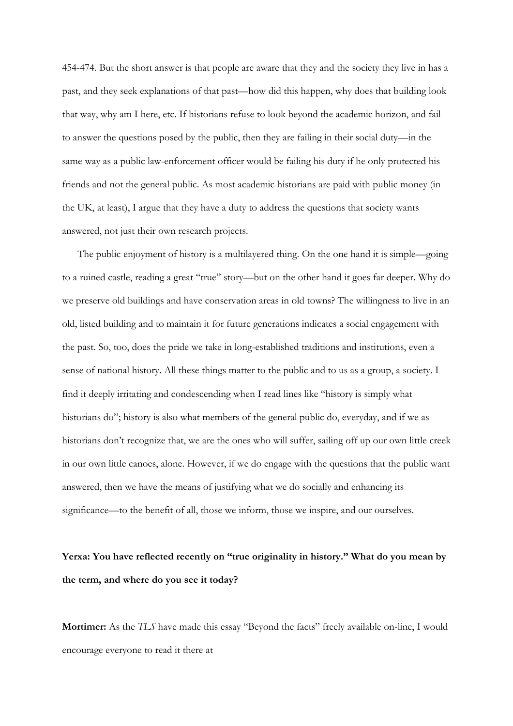454-474. But the short answer is that people are aware that they and the society they live in has a past, and they seek explanations of that past—how did this happen, why does that building look that way, why am I here, etc. If historians refuse to look beyond the academic horizon, and fail to answer the questions posed by the public, then they are failing in their social duty—in the same way as a public law-enforcement officer would be failing his duty if he only protected his friends and not the general public. As most academic historians are paid with public money (in the UK, at least), I argue that they have a duty to address the questions that society wants answered, not just their own research projects.

The public enjoyment of history is a multilayered thing. On the one hand it is simple—going to a ruined castle, reading a great "true" story—but on the other hand it goes far deeper. Why do we preserve old buildings and have conservation areas in old towns? The willingness to live in an old, listed building and to maintain it for future generations indicates a social engagement with the past. So, too, does the pride we take in long-established traditions and institutions, even a sense of national history. All these things matter to the public and to us as a group, a society. I find it deeply irritating and condescending when I read lines like "history is simply what historians do"; history is also what members of the general public do, everyday, and if we as historians don't recognize that, we are the ones who will suffer, sailing off up our own little creek in our own little canoes, alone. However, if we do engage with the questions that the public want answered, then we have the means of justifying what we do socially and enhancing its significance—to the benefit of all, those we inform, those we inspire, and our ourselves.

**Yerxa: You have reflected recently on "true originality in history." What do you mean by the term, and where do you see it today?** 

**Mortimer:** As the *TLS* have made this essay "Beyond the facts" freely available on-line, I would encourage everyone to read it there at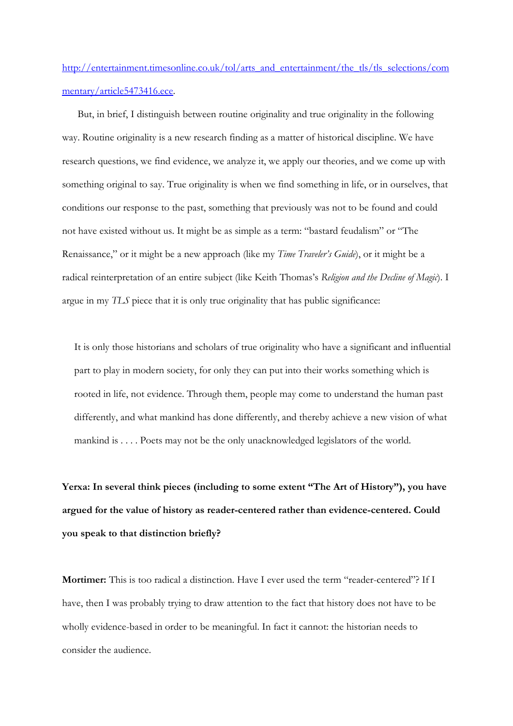http://entertainment.timesonline.co.uk/tol/arts\_and\_entertainment/the\_tls/tls\_selections/com mentary/article5473416.ece.

But, in brief, I distinguish between routine originality and true originality in the following way. Routine originality is a new research finding as a matter of historical discipline. We have research questions, we find evidence, we analyze it, we apply our theories, and we come up with something original to say. True originality is when we find something in life, or in ourselves, that conditions our response to the past, something that previously was not to be found and could not have existed without us. It might be as simple as a term: "bastard feudalism" or "The Renaissance," or it might be a new approach (like my *Time Traveler's Guide*), or it might be a radical reinterpretation of an entire subject (like Keith Thomas's *Religion and the Decline of Magic*). I argue in my *TLS* piece that it is only true originality that has public significance:

It is only those historians and scholars of true originality who have a significant and influential part to play in modern society, for only they can put into their works something which is rooted in life, not evidence. Through them, people may come to understand the human past differently, and what mankind has done differently, and thereby achieve a new vision of what mankind is . . . . Poets may not be the only unacknowledged legislators of the world.

**Yerxa: In several think pieces (including to some extent "The Art of History"), you have argued for the value of history as reader-centered rather than evidence-centered. Could you speak to that distinction briefly?** 

**Mortimer:** This is too radical a distinction. Have I ever used the term "reader-centered"? If I have, then I was probably trying to draw attention to the fact that history does not have to be wholly evidence-based in order to be meaningful. In fact it cannot: the historian needs to consider the audience.